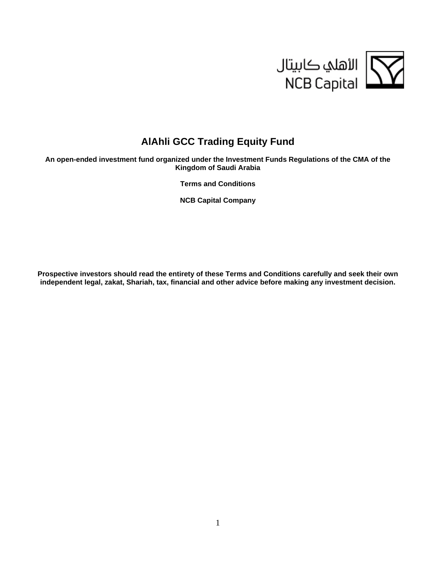

# **AlAhli GCC Trading Equity Fund**

**An open-ended investment fund organized under the Investment Funds Regulations of the CMA of the Kingdom of Saudi Arabia** 

**Terms and Conditions** 

**NCB Capital Company** 

**Prospective investors should read the entirety of these Terms and Conditions carefully and seek their own independent legal, zakat, Shariah, tax, financial and other advice before making any investment decision.**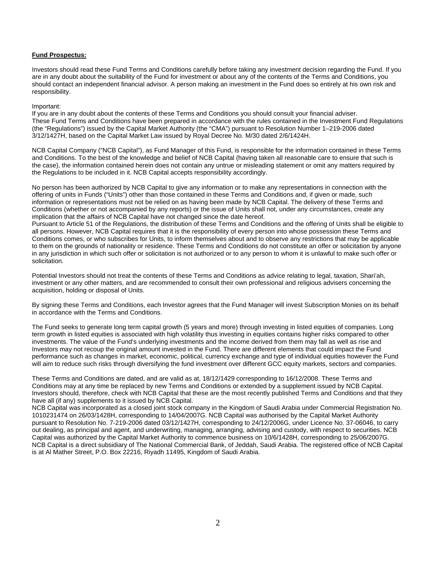# **Fund Prospectus:**

Investors should read these Fund Terms and Conditions carefully before taking any investment decision regarding the Fund. If you are in any doubt about the suitability of the Fund for investment or about any of the contents of the Terms and Conditions, you should contact an independent financial advisor. A person making an investment in the Fund does so entirely at his own risk and responsibility.

## Important:

If you are in any doubt about the contents of these Terms and Conditions you should consult your financial adviser. These Fund Terms and Conditions have been prepared in accordance with the rules contained in the Investment Fund Regulations (the "Regulations") issued by the Capital Market Authority (the "CMA") pursuant to Resolution Number 1–219-2006 dated 3/12/1427H, based on the Capital Market Law issued by Royal Decree No. M/30 dated 2/6/1424H.

NCB Capital Company ("NCB Capital"), as Fund Manager of this Fund, is responsible for the information contained in these Terms and Conditions. To the best of the knowledge and belief of NCB Capital (having taken all reasonable care to ensure that such is the case), the information contained herein does not contain any untrue or misleading statement or omit any matters required by the Regulations to be included in it. NCB Capital accepts responsibility accordingly.

No person has been authorized by NCB Capital to give any information or to make any representations in connection with the offering of units in Funds ("Units") other than those contained in these Terms and Conditions and, if given or made, such information or representations must not be relied on as having been made by NCB Capital. The delivery of these Terms and Conditions (whether or not accompanied by any reports) or the issue of Units shall not, under any circumstances, create any implication that the affairs of NCB Capital have not changed since the date hereof.

Pursuant to Article 51 of the Regulations, the distribution of these Terms and Conditions and the offering of Units shall be eligible to all persons. However, NCB Capital requires that it is the responsibility of every person into whose possession these Terms and Conditions comes, or who subscribes for Units, to inform themselves about and to observe any restrictions that may be applicable to them on the grounds of nationality or residence. These Terms and Conditions do not constitute an offer or solicitation by anyone in any jurisdiction in which such offer or solicitation is not authorized or to any person to whom it is unlawful to make such offer or solicitation.

Potential Investors should not treat the contents of these Terms and Conditions as advice relating to legal, taxation, Shari'ah, investment or any other matters, and are recommended to consult their own professional and religious advisers concerning the acquisition, holding or disposal of Units.

By signing these Terms and Conditions, each Investor agrees that the Fund Manager will invest Subscription Monies on its behalf in accordance with the Terms and Conditions.

The Fund seeks to generate long term capital growth (5 years and more) through investing in listed equities of companies. Long term growth in listed equities is associated with high volatility thus investing in equities contains higher risks compared to other investments. The value of the Fund's underlying investments and the income derived from them may fall as well as rise and Investors may not recoup the original amount invested in the Fund. There are different elements that could impact the Fund performance such as changes in market, economic, political, currency exchange and type of individual equities however the Fund will aim to reduce such risks through diversifying the fund investment over different GCC equity markets, sectors and companies.

These Terms and Conditions are dated, and are valid as at, 18/12/1429 corresponding to 16/12/2008. These Terms and Conditions may at any time be replaced by new Terms and Conditions or extended by a supplement issued by NCB Capital. Investors should, therefore, check with NCB Capital that these are the most recently published Terms and Conditions and that they have all (if any) supplements to it issued by NCB Capital.

NCB Capital was incorporated as a closed joint stock company in the Kingdom of Saudi Arabia under Commercial Registration No. 1010231474 on 26/03/1428H, corresponding to 14/04/2007G. NCB Capital was authorised by the Capital Market Authority pursuant to Resolution No. 7-219-2006 dated 03/12/1427H, corresponding to 24/12/2006G, under Licence No. 37-06046, to carry out dealing, as principal and agent, and underwriting, managing, arranging, advising and custody, with respect to securities. NCB Capital was authorized by the Capital Market Authority to commence business on 10/6/1428H, corresponding to 25/06/2007G. NCB Capital is a direct subsidiary of The National Commercial Bank, of Jeddah, Saudi Arabia. The registered office of NCB Capital is at Al Mather Street, P.O. Box 22216, Riyadh 11495, Kingdom of Saudi Arabia.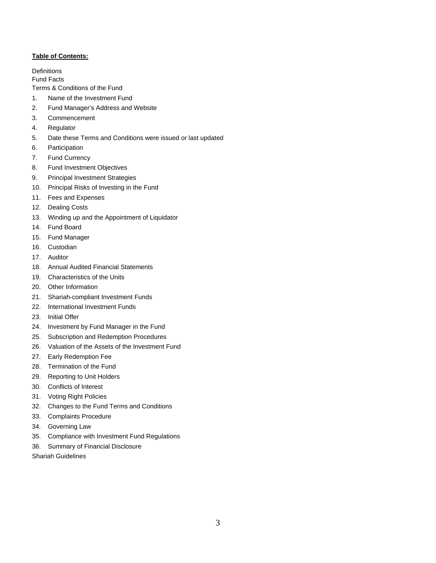# **Table of Contents:**

**Definitions** 

Fund Facts

Terms & Conditions of the Fund

- 1. Name of the Investment Fund
- 2. Fund Manager's Address and Website
- 3. Commencement
- 4. Regulator
- 5. Date these Terms and Conditions were issued or last updated
- 6. Participation
- 7. Fund Currency
- 8. Fund Investment Objectives
- 9. Principal Investment Strategies
- 10. Principal Risks of Investing in the Fund
- 11. Fees and Expenses
- 12. Dealing Costs
- 13. Winding up and the Appointment of Liquidator
- 14. Fund Board
- 15. Fund Manager
- 16. Custodian
- 17. Auditor
- 18. Annual Audited Financial Statements
- 19. Characteristics of the Units
- 20. Other Information
- 21. Shariah-compliant Investment Funds
- 22. International Investment Funds
- 23. Initial Offer
- 24. Investment by Fund Manager in the Fund
- 25. Subscription and Redemption Procedures
- 26. Valuation of the Assets of the Investment Fund
- 27. Early Redemption Fee
- 28. Termination of the Fund
- 29. Reporting to Unit Holders
- 30. Conflicts of Interest
- 31. Voting Right Policies
- 32. Changes to the Fund Terms and Conditions
- 33. Complaints Procedure
- 34. Governing Law
- 35. Compliance with Investment Fund Regulations
- 36. Summary of Financial Disclosure
- Shariah Guidelines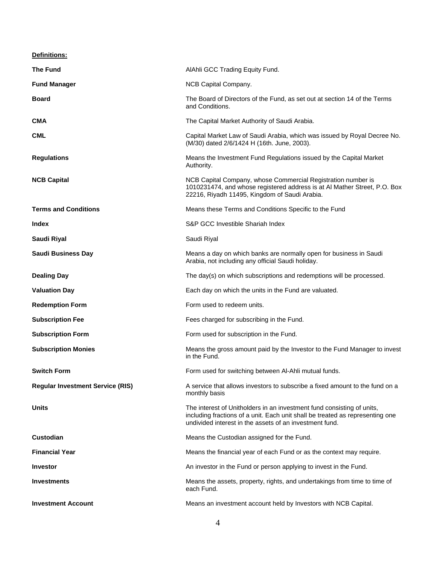| Definitions:                            |                                                                                                                                                                                                                    |
|-----------------------------------------|--------------------------------------------------------------------------------------------------------------------------------------------------------------------------------------------------------------------|
| <b>The Fund</b>                         | AlAhli GCC Trading Equity Fund.                                                                                                                                                                                    |
| <b>Fund Manager</b>                     | NCB Capital Company.                                                                                                                                                                                               |
| Board                                   | The Board of Directors of the Fund, as set out at section 14 of the Terms<br>and Conditions.                                                                                                                       |
| <b>CMA</b>                              | The Capital Market Authority of Saudi Arabia.                                                                                                                                                                      |
| CML                                     | Capital Market Law of Saudi Arabia, which was issued by Royal Decree No.<br>(M/30) dated 2/6/1424 H (16th. June, 2003).                                                                                            |
| <b>Regulations</b>                      | Means the Investment Fund Regulations issued by the Capital Market<br>Authority.                                                                                                                                   |
| <b>NCB Capital</b>                      | NCB Capital Company, whose Commercial Registration number is<br>1010231474, and whose registered address is at Al Mather Street, P.O. Box<br>22216, Riyadh 11495, Kingdom of Saudi Arabia.                         |
| <b>Terms and Conditions</b>             | Means these Terms and Conditions Specific to the Fund                                                                                                                                                              |
| Index                                   | S&P GCC Investible Shariah Index                                                                                                                                                                                   |
| Saudi Riyal                             | Saudi Riyal                                                                                                                                                                                                        |
| <b>Saudi Business Day</b>               | Means a day on which banks are normally open for business in Saudi<br>Arabia, not including any official Saudi holiday.                                                                                            |
| <b>Dealing Day</b>                      | The day(s) on which subscriptions and redemptions will be processed.                                                                                                                                               |
| <b>Valuation Day</b>                    | Each day on which the units in the Fund are valuated.                                                                                                                                                              |
| <b>Redemption Form</b>                  | Form used to redeem units.                                                                                                                                                                                         |
| <b>Subscription Fee</b>                 | Fees charged for subscribing in the Fund.                                                                                                                                                                          |
| <b>Subscription Form</b>                | Form used for subscription in the Fund.                                                                                                                                                                            |
| <b>Subscription Monies</b>              | Means the gross amount paid by the Investor to the Fund Manager to invest<br>in the Fund.                                                                                                                          |
| <b>Switch Form</b>                      | Form used for switching between AI-Ahli mutual funds.                                                                                                                                                              |
| <b>Regular Investment Service (RIS)</b> | A service that allows investors to subscribe a fixed amount to the fund on a<br>monthly basis                                                                                                                      |
| <b>Units</b>                            | The interest of Unitholders in an investment fund consisting of units,<br>including fractions of a unit. Each unit shall be treated as representing one<br>undivided interest in the assets of an investment fund. |
| <b>Custodian</b>                        | Means the Custodian assigned for the Fund.                                                                                                                                                                         |
| <b>Financial Year</b>                   | Means the financial year of each Fund or as the context may require.                                                                                                                                               |
| <b>Investor</b>                         | An investor in the Fund or person applying to invest in the Fund.                                                                                                                                                  |
| <b>Investments</b>                      | Means the assets, property, rights, and undertakings from time to time of<br>each Fund.                                                                                                                            |
| <b>Investment Account</b>               | Means an investment account held by Investors with NCB Capital.                                                                                                                                                    |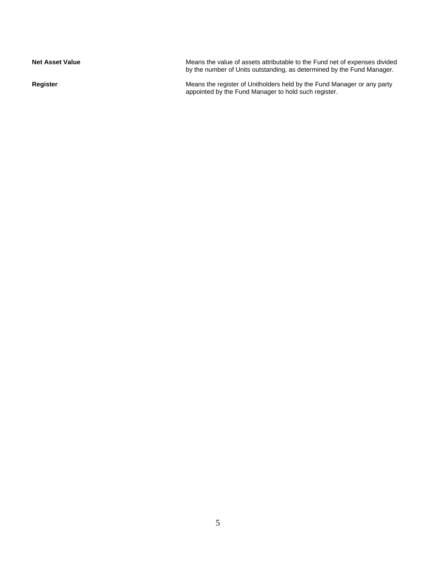| <b>Net Asset Value</b> | Means the value of assets attributable to the Fund net of expenses divided<br>by the number of Units outstanding, as determined by the Fund Manager. |
|------------------------|------------------------------------------------------------------------------------------------------------------------------------------------------|
| Register               | Means the register of Unitholders held by the Fund Manager or any party<br>appointed by the Fund Manager to hold such register.                      |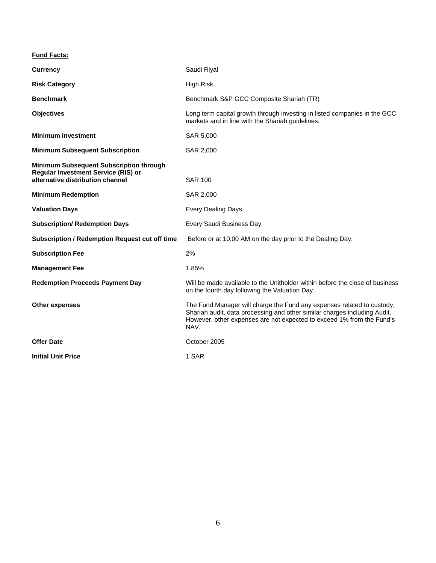# **Fund Facts:**

| <b>Currency</b>                                                                                                                  | Saudi Riyal                                                                                                                                                                                                                          |
|----------------------------------------------------------------------------------------------------------------------------------|--------------------------------------------------------------------------------------------------------------------------------------------------------------------------------------------------------------------------------------|
| <b>Risk Category</b>                                                                                                             | High Risk                                                                                                                                                                                                                            |
| <b>Benchmark</b>                                                                                                                 | Benchmark S&P GCC Composite Shariah (TR)                                                                                                                                                                                             |
| <b>Objectives</b>                                                                                                                | Long term capital growth through investing in listed companies in the GCC<br>markets and in line with the Shariah guidelines.                                                                                                        |
| <b>Minimum Investment</b>                                                                                                        | SAR 5,000                                                                                                                                                                                                                            |
| <b>Minimum Subsequent Subscription</b>                                                                                           | SAR 2,000                                                                                                                                                                                                                            |
| <b>Minimum Subsequent Subscription through</b><br><b>Regular Investment Service (RIS) or</b><br>alternative distribution channel | <b>SAR 100</b>                                                                                                                                                                                                                       |
| <b>Minimum Redemption</b>                                                                                                        | SAR 2,000                                                                                                                                                                                                                            |
| <b>Valuation Days</b>                                                                                                            | Every Dealing Days.                                                                                                                                                                                                                  |
| <b>Subscription/ Redemption Days</b>                                                                                             | Every Saudi Business Day.                                                                                                                                                                                                            |
| <b>Subscription / Redemption Request cut off time</b>                                                                            | Before or at 10:00 AM on the day prior to the Dealing Day.                                                                                                                                                                           |
| <b>Subscription Fee</b>                                                                                                          | 2%                                                                                                                                                                                                                                   |
| <b>Management Fee</b>                                                                                                            | 1.85%                                                                                                                                                                                                                                |
| <b>Redemption Proceeds Payment Day</b>                                                                                           | Will be made available to the Unitholder within before the close of business<br>on the fourth day following the Valuation Day.                                                                                                       |
| <b>Other expenses</b>                                                                                                            | The Fund Manager will charge the Fund any expenses related to custody,<br>Shariah audit, data processing and other similar charges including Audit.<br>However, other expenses are not expected to exceed 1% from the Fund's<br>NAV. |
| <b>Offer Date</b>                                                                                                                | October 2005                                                                                                                                                                                                                         |
| <b>Initial Unit Price</b>                                                                                                        | 1 SAR                                                                                                                                                                                                                                |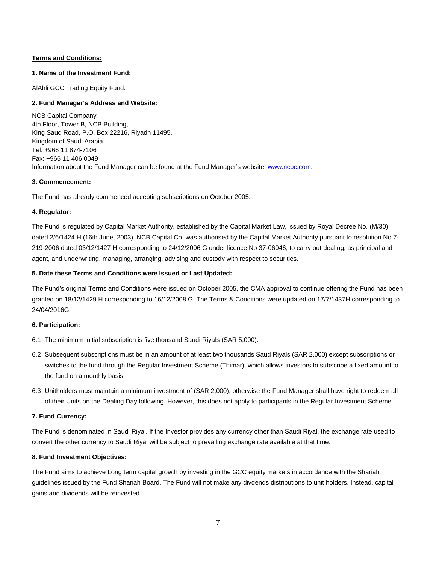# **Terms and Conditions:**

# **1. Name of the Investment Fund:**

AlAhli GCC Trading Equity Fund.

# **2. Fund Manager's Address and Website:**

NCB Capital Company 4th Floor, Tower B, NCB Building, King Saud Road, P.O. Box 22216, Riyadh 11495, Kingdom of Saudi Arabia Tel: +966 11 874-7106 Fax: +966 11 406 0049 Information about the Fund Manager can be found at the Fund Manager's website: www.ncbc.com.

# **3. Commencement:**

The Fund has already commenced accepting subscriptions on October 2005.

# **4. Regulator:**

The Fund is regulated by Capital Market Authority, established by the Capital Market Law, issued by Royal Decree No. (M/30) dated 2/6/1424 H (16th June, 2003). NCB Capital Co. was authorised by the Capital Market Authority pursuant to resolution No 7- 219-2006 dated 03/12/1427 H corresponding to 24/12/2006 G under licence No 37-06046, to carry out dealing, as principal and agent, and underwriting, managing, arranging, advising and custody with respect to securities.

# **5. Date these Terms and Conditions were Issued or Last Updated:**

The Fund's original Terms and Conditions were issued on October 2005, the CMA approval to continue offering the Fund has been granted on 18/12/1429 H corresponding to 16/12/2008 G. The Terms & Conditions were updated on 17/7/1437H corresponding to 24/04/2016G.

## **6. Participation:**

- 6.1 The minimum initial subscription is five thousand Saudi Riyals (SAR 5,000).
- 6.2 Subsequent subscriptions must be in an amount of at least two thousands Saud Riyals (SAR 2,000) except subscriptions or switches to the fund through the Regular Investment Scheme (Thimar), which allows investors to subscribe a fixed amount to the fund on a monthly basis.
- 6.3 Unitholders must maintain a minimum investment of (SAR 2,000), otherwise the Fund Manager shall have right to redeem all of their Units on the Dealing Day following. However, this does not apply to participants in the Regular Investment Scheme.

# **7. Fund Currency:**

The Fund is denominated in Saudi Riyal. If the Investor provides any currency other than Saudi Riyal, the exchange rate used to convert the other currency to Saudi Riyal will be subject to prevailing exchange rate available at that time.

# **8. Fund Investment Objectives:**

The Fund aims to achieve Long term capital growth by investing in the GCC equity markets in accordance with the Shariah guidelines issued by the Fund Shariah Board. The Fund will not make any divdends distributions to unit holders. Instead, capital gains and dividends will be reinvested.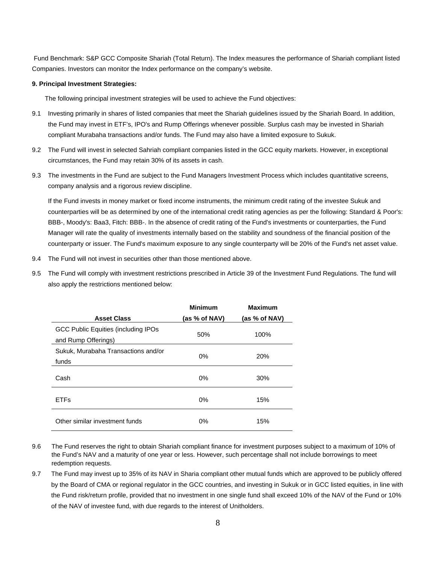Fund Benchmark: S&P GCC Composite Shariah (Total Return). The Index measures the performance of Shariah compliant listed Companies. Investors can monitor the Index performance on the company's website.

#### **9. Principal Investment Strategies:**

The following principal investment strategies will be used to achieve the Fund objectives:

- 9.1 Investing primarily in shares of listed companies that meet the Shariah guidelines issued by the Shariah Board. In addition, the Fund may invest in ETF's, IPO's and Rump Offerings whenever possible. Surplus cash may be invested in Shariah compliant Murabaha transactions and/or funds. The Fund may also have a limited exposure to Sukuk.
- 9.2 The Fund will invest in selected Sahriah compliant companies listed in the GCC equity markets. However, in exceptional circumstances, the Fund may retain 30% of its assets in cash.
- 9.3 The investments in the Fund are subject to the Fund Managers Investment Process which includes quantitative screens, company analysis and a rigorous review discipline.

If the Fund invests in money market or fixed income instruments, the minimum credit rating of the investee Sukuk and counterparties will be as determined by one of the international credit rating agencies as per the following: Standard & Poor's: BBB-, Moody's: Baa3, Fitch: BBB-. In the absence of credit rating of the Fund's investments or counterparties, the Fund Manager will rate the quality of investments internally based on the stability and soundness of the financial position of the counterparty or issuer. The Fund's maximum exposure to any single counterparty will be 20% of the Fund's net asset value.

- 9.4 The Fund will not invest in securities other than those mentioned above.
- 9.5 The Fund will comply with investment restrictions prescribed in Article 39 of the Investment Fund Regulations. The fund will also apply the restrictions mentioned below:

|                                              | <b>Minimum</b> | <b>Maximum</b> |
|----------------------------------------------|----------------|----------------|
| <b>Asset Class</b>                           | (as % of NAV)  | (as % of NAV)  |
| GCC Public Equities (including IPOs          | 50%            | 100%           |
| and Rump Offerings)                          |                |                |
| Sukuk, Murabaha Transactions and/or<br>funds | $0\%$          | 20%            |
| Cash                                         | 0%             | 30%            |
| <b>ETFs</b>                                  | $0\%$          | 15%            |
| Other similar investment funds               | 0%             | 15%            |

- 9.6 The Fund reserves the right to obtain Shariah compliant finance for investment purposes subject to a maximum of 10% of the Fund's NAV and a maturity of one year or less. However, such percentage shall not include borrowings to meet redemption requests.
- 9.7 The Fund may invest up to 35% of its NAV in Sharia compliant other mutual funds which are approved to be publicly offered by the Board of CMA or regional regulator in the GCC countries, and investing in Sukuk or in GCC listed equities, in line with the Fund risk/return profile, provided that no investment in one single fund shall exceed 10% of the NAV of the Fund or 10% of the NAV of investee fund, with due regards to the interest of Unitholders.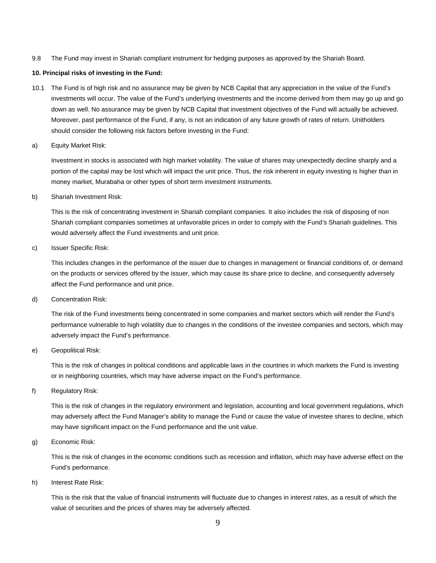9.8 The Fund may invest in Shariah compliant instrument for hedging purposes as approved by the Shariah Board.

#### **10. Principal risks of investing in the Fund:**

- 10.1 The Fund is of high risk and no assurance may be given by NCB Capital that any appreciation in the value of the Fund's investments will occur. The value of the Fund's underlying investments and the income derived from them may go up and go down as well. No assurance may be given by NCB Capital that investment objectives of the Fund will actually be achieved. Moreover, past performance of the Fund, if any, is not an indication of any future growth of rates of return. Unitholders should consider the following risk factors before investing in the Fund:
- a) Equity Market Risk:

Investment in stocks is associated with high market volatility. The value of shares may unexpectedly decline sharply and a portion of the capital may be lost which will impact the unit price. Thus, the risk inherent in equity investing is higher than in money market, Murabaha or other types of short term investment instruments.

b) Shariah Investment Risk:

This is the risk of concentrating investment in Shariah compliant companies. It also includes the risk of disposing of non Shariah compliant companies sometimes at unfavorable prices in order to comply with the Fund's Shariah guidelines. This would adversely affect the Fund investments and unit price.

c) Issuer Specific Risk:

This includes changes in the performance of the issuer due to changes in management or financial conditions of, or demand on the products or services offered by the issuer, which may cause its share price to decline, and consequently adversely affect the Fund performance and unit price.

d) Concentration Risk:

The risk of the Fund investments being concentrated in some companies and market sectors which will render the Fund's performance vulnerable to high volatility due to changes in the conditions of the investee companies and sectors, which may adversely impact the Fund's performance.

e) Geopolitical Risk:

This is the risk of changes in political conditions and applicable laws in the countries in which markets the Fund is investing or in neighboring countries, which may have adverse impact on the Fund's performance.

f) Regulatory Risk:

This is the risk of changes in the regulatory environment and legislation, accounting and local government regulations, which may adversely affect the Fund Manager's ability to manage the Fund or cause the value of investee shares to decline, which may have significant impact on the Fund performance and the unit value.

g) Economic Risk:

This is the risk of changes in the economic conditions such as recession and inflation, which may have adverse effect on the Fund's performance.

h) Interest Rate Risk:

This is the risk that the value of financial instruments will fluctuate due to changes in interest rates, as a result of which the value of securities and the prices of shares may be adversely affected.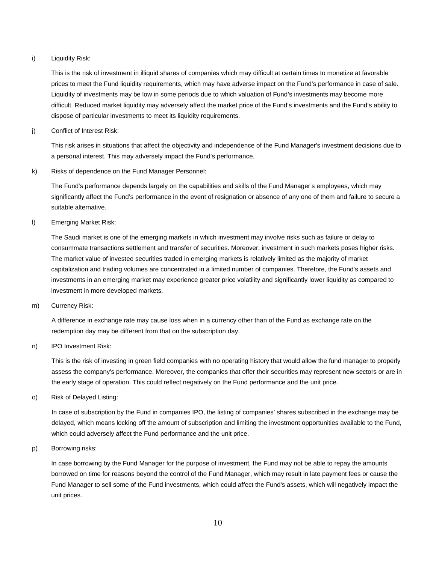#### i) Liquidity Risk:

This is the risk of investment in illiquid shares of companies which may difficult at certain times to monetize at favorable prices to meet the Fund liquidity requirements, which may have adverse impact on the Fund's performance in case of sale. Liquidity of investments may be low in some periods due to which valuation of Fund's investments may become more difficult. Reduced market liquidity may adversely affect the market price of the Fund's investments and the Fund's ability to dispose of particular investments to meet its liquidity requirements.

j) Conflict of Interest Risk:

This risk arises in situations that affect the objectivity and independence of the Fund Manager's investment decisions due to a personal interest. This may adversely impact the Fund's performance.

k) Risks of dependence on the Fund Manager Personnel:

The Fund's performance depends largely on the capabilities and skills of the Fund Manager's employees, which may significantly affect the Fund's performance in the event of resignation or absence of any one of them and failure to secure a suitable alternative.

l) Emerging Market Risk:

The Saudi market is one of the emerging markets in which investment may involve risks such as failure or delay to consummate transactions settlement and transfer of securities. Moreover, investment in such markets poses higher risks. The market value of investee securities traded in emerging markets is relatively limited as the majority of market capitalization and trading volumes are concentrated in a limited number of companies. Therefore, the Fund's assets and investments in an emerging market may experience greater price volatility and significantly lower liquidity as compared to investment in more developed markets.

m) Currency Risk:

A difference in exchange rate may cause loss when in a currency other than of the Fund as exchange rate on the redemption day may be different from that on the subscription day.

n) IPO Investment Risk:

This is the risk of investing in green field companies with no operating history that would allow the fund manager to properly assess the company's performance. Moreover, the companies that offer their securities may represent new sectors or are in the early stage of operation. This could reflect negatively on the Fund performance and the unit price.

o) Risk of Delayed Listing:

In case of subscription by the Fund in companies IPO, the listing of companies' shares subscribed in the exchange may be delayed, which means locking off the amount of subscription and limiting the investment opportunities available to the Fund, which could adversely affect the Fund performance and the unit price.

p) Borrowing risks:

In case borrowing by the Fund Manager for the purpose of investment, the Fund may not be able to repay the amounts borrowed on time for reasons beyond the control of the Fund Manager, which may result in late payment fees or cause the Fund Manager to sell some of the Fund investments, which could affect the Fund's assets, which will negatively impact the unit prices.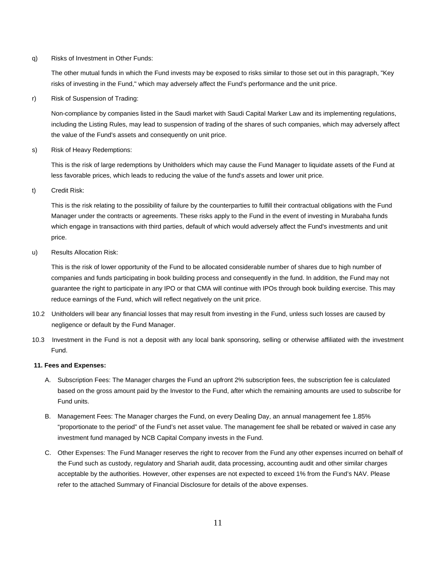q) Risks of Investment in Other Funds:

The other mutual funds in which the Fund invests may be exposed to risks similar to those set out in this paragraph, "Key risks of investing in the Fund," which may adversely affect the Fund's performance and the unit price.

r) Risk of Suspension of Trading:

Non-compliance by companies listed in the Saudi market with Saudi Capital Marker Law and its implementing regulations, including the Listing Rules, may lead to suspension of trading of the shares of such companies, which may adversely affect the value of the Fund's assets and consequently on unit price.

s) Risk of Heavy Redemptions:

This is the risk of large redemptions by Unitholders which may cause the Fund Manager to liquidate assets of the Fund at less favorable prices, which leads to reducing the value of the fund's assets and lower unit price.

t) Credit Risk:

This is the risk relating to the possibility of failure by the counterparties to fulfill their contractual obligations with the Fund Manager under the contracts or agreements. These risks apply to the Fund in the event of investing in Murabaha funds which engage in transactions with third parties, default of which would adversely affect the Fund's investments and unit price.

u) Results Allocation Risk:

This is the risk of lower opportunity of the Fund to be allocated considerable number of shares due to high number of companies and funds participating in book building process and consequently in the fund. In addition, the Fund may not guarantee the right to participate in any IPO or that CMA will continue with IPOs through book building exercise. This may reduce earnings of the Fund, which will reflect negatively on the unit price.

- 10.2 Unitholders will bear any financial losses that may result from investing in the Fund, unless such losses are caused by negligence or default by the Fund Manager.
- 10.3 Investment in the Fund is not a deposit with any local bank sponsoring, selling or otherwise affiliated with the investment Fund.

#### **11. Fees and Expenses:**

- A. Subscription Fees: The Manager charges the Fund an upfront 2% subscription fees, the subscription fee is calculated based on the gross amount paid by the Investor to the Fund, after which the remaining amounts are used to subscribe for Fund units.
- B. Management Fees: The Manager charges the Fund, on every Dealing Day, an annual management fee 1.85% "proportionate to the period" of the Fund's net asset value. The management fee shall be rebated or waived in case any investment fund managed by NCB Capital Company invests in the Fund.
- C. Other Expenses: The Fund Manager reserves the right to recover from the Fund any other expenses incurred on behalf of the Fund such as custody, regulatory and Shariah audit, data processing, accounting audit and other similar charges acceptable by the authorities. However, other expenses are not expected to exceed 1% from the Fund's NAV. Please refer to the attached Summary of Financial Disclosure for details of the above expenses.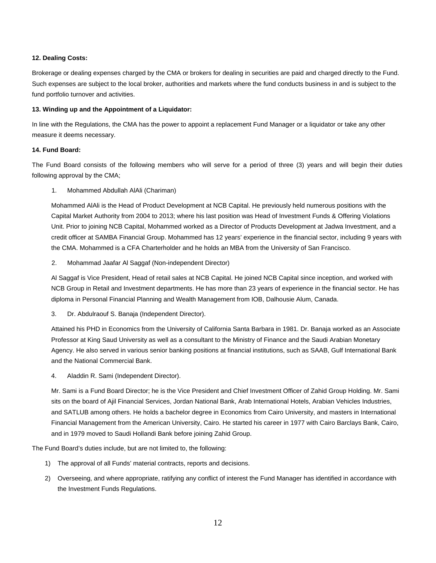# **12. Dealing Costs:**

Brokerage or dealing expenses charged by the CMA or brokers for dealing in securities are paid and charged directly to the Fund. Such expenses are subject to the local broker, authorities and markets where the fund conducts business in and is subject to the fund portfolio turnover and activities.

# **13. Winding up and the Appointment of a Liquidator:**

In line with the Regulations, the CMA has the power to appoint a replacement Fund Manager or a liquidator or take any other measure it deems necessary.

# **14. Fund Board:**

The Fund Board consists of the following members who will serve for a period of three (3) years and will begin their duties following approval by the CMA;

1. Mohammed Abdullah AlAli (Chariman)

Mohammed AlAli is the Head of Product Development at NCB Capital. He previously held numerous positions with the Capital Market Authority from 2004 to 2013; where his last position was Head of Investment Funds & Offering Violations Unit. Prior to joining NCB Capital, Mohammed worked as a Director of Products Development at Jadwa Investment, and a credit officer at SAMBA Financial Group. Mohammed has 12 years' experience in the financial sector, including 9 years with the CMA. Mohammed is a CFA Charterholder and he holds an MBA from the University of San Francisco.

2. Mohammad Jaafar Al Saggaf (Non-independent Director)

Al Saggaf is Vice President, Head of retail sales at NCB Capital. He joined NCB Capital since inception, and worked with NCB Group in Retail and Investment departments. He has more than 23 years of experience in the financial sector. He has diploma in Personal Financial Planning and Wealth Management from IOB, Dalhousie Alum, Canada.

3. Dr. Abdulraouf S. Banaja (Independent Director).

Attained his PHD in Economics from the University of California Santa Barbara in 1981. Dr. Banaja worked as an Associate Professor at King Saud University as well as a consultant to the Ministry of Finance and the Saudi Arabian Monetary Agency. He also served in various senior banking positions at financial institutions, such as SAAB, Gulf International Bank and the National Commercial Bank.

4. Aladdin R. Sami (Independent Director).

Mr. Sami is a Fund Board Director; he is the Vice President and Chief Investment Officer of Zahid Group Holding. Mr. Sami sits on the board of Ajil Financial Services, Jordan National Bank, Arab International Hotels, Arabian Vehicles Industries, and SATLUB among others. He holds a bachelor degree in Economics from Cairo University, and masters in International Financial Management from the American University, Cairo. He started his career in 1977 with Cairo Barclays Bank, Cairo, and in 1979 moved to Saudi Hollandi Bank before joining Zahid Group.

The Fund Board's duties include, but are not limited to, the following:

- 1) The approval of all Funds' material contracts, reports and decisions.
- 2) Overseeing, and where appropriate, ratifying any conflict of interest the Fund Manager has identified in accordance with the Investment Funds Regulations.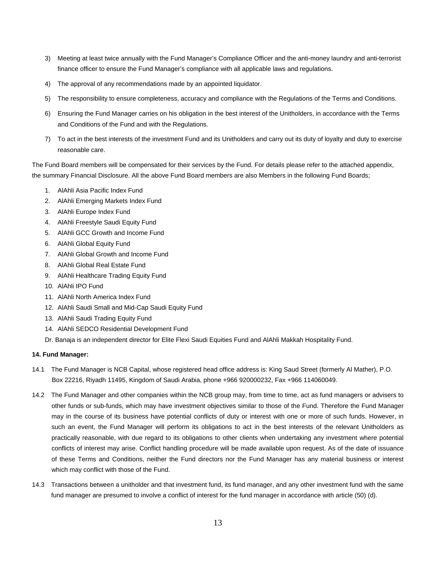- 3) Meeting at least twice annually with the Fund Manager's Compliance Officer and the anti-money laundry and anti-terrorist finance officer to ensure the Fund Manager's compliance with all applicable laws and regulations.
- 4) The approval of any recommendations made by an appointed liquidator.
- 5) The responsibility to ensure completeness, accuracy and compliance with the Regulations of the Terms and Conditions.
- 6) Ensuring the Fund Manager carries on his obligation in the best interest of the Unitholders, in accordance with the Terms and Conditions of the Fund and with the Regulations.
- 7) To act in the best interests of the investment Fund and its Unitholders and carry out its duty of loyalty and duty to exercise reasonable care.

The Fund Board members will be compensated for their services by the Fund. For details please refer to the attached appendix, the summary Financial Disclosure. All the above Fund Board members are also Members in the following Fund Boards;

- 1. AlAhli Asia Pacific Index Fund
- 2. AlAhli Emerging Markets Index Fund
- 3. AlAhli Europe Index Fund
- 4. AlAhli Freestyle Saudi Equity Fund
- 5. AlAhli GCC Growth and Income Fund
- 6. AlAhli Global Equity Fund
- 7. AlAhli Global Growth and Income Fund
- 8. AlAhli Global Real Estate Fund
- 9. AlAhli Healthcare Trading Equity Fund
- 10. AlAhli IPO Fund
- 11. AlAhli North America Index Fund
- 12. AlAhli Saudi Small and Mid-Cap Saudi Equity Fund
- 13. AlAhli Saudi Trading Equity Fund
- 14. AlAhli SEDCO Residential Development Fund
- Dr. Banaja is an independent director for Elite Flexi Saudi Equities Fund and AlAhli Makkah Hospitality Fund.

## **14. Fund Manager:**

- 14.1 The Fund Manager is NCB Capital, whose registered head office address is: King Saud Street (formerly Al Mather), P.O. Box 22216, Riyadh 11495, Kingdom of Saudi Arabia, phone +966 920000232, Fax +966 114060049.
- 14.2 The Fund Manager and other companies within the NCB group may, from time to time, act as fund managers or advisers to other funds or sub-funds, which may have investment objectives similar to those of the Fund. Therefore the Fund Manager may in the course of its business have potential conflicts of duty or interest with one or more of such funds. However, in such an event, the Fund Manager will perform its obligations to act in the best interests of the relevant Unitholders as practically reasonable, with due regard to its obligations to other clients when undertaking any investment where potential conflicts of interest may arise. Conflict handling procedure will be made available upon request. As of the date of issuance of these Terms and Conditions, neither the Fund directors nor the Fund Manager has any material business or interest which may conflict with those of the Fund.
- 14.3 Transactions between a unitholder and that investment fund, its fund manager, and any other investment fund with the same fund manager are presumed to involve a conflict of interest for the fund manager in accordance with article (50) (d).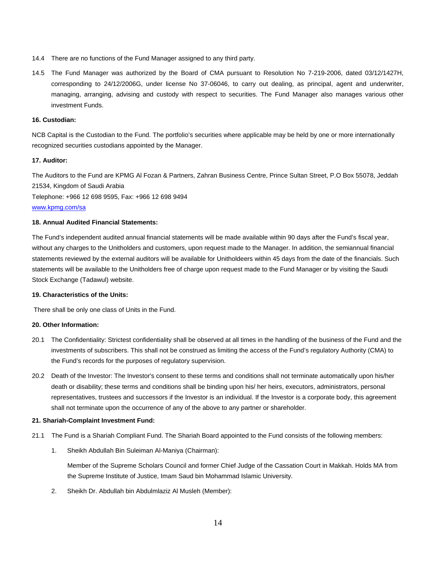- 14.4 There are no functions of the Fund Manager assigned to any third party.
- 14.5 The Fund Manager was authorized by the Board of CMA pursuant to Resolution No 7-219-2006, dated 03/12/1427H, corresponding to 24/12/2006G, under license No 37-06046, to carry out dealing, as principal, agent and underwriter, managing, arranging, advising and custody with respect to securities. The Fund Manager also manages various other investment Funds.

#### **16. Custodian:**

NCB Capital is the Custodian to the Fund. The portfolio's securities where applicable may be held by one or more internationally recognized securities custodians appointed by the Manager.

# **17. Auditor:**

The Auditors to the Fund are KPMG Al Fozan & Partners, Zahran Business Centre, Prince Sultan Street, P.O Box 55078, Jeddah 21534, Kingdom of Saudi Arabia

Telephone: +966 12 698 9595, Fax: +966 12 698 9494

#### www.kpmg.com/sa

# **18. Annual Audited Financial Statements:**

The Fund's independent audited annual financial statements will be made available within 90 days after the Fund's fiscal year, without any charges to the Unitholders and customers, upon request made to the Manager. In addition, the semiannual financial statements reviewed by the external auditors will be available for Unitholdeers within 45 days from the date of the financials. Such statements will be available to the Unitholders free of charge upon request made to the Fund Manager or by visiting the Saudi Stock Exchange (Tadawul) website.

#### **19. Characteristics of the Units:**

There shall be only one class of Units in the Fund.

#### **20. Other Information:**

- 20.1 The Confidentiality: Strictest confidentiality shall be observed at all times in the handling of the business of the Fund and the investments of subscribers. This shall not be construed as limiting the access of the Fund's regulatory Authority (CMA) to the Fund's records for the purposes of regulatory supervision.
- 20.2 Death of the Investor: The Investor's consent to these terms and conditions shall not terminate automatically upon his/her death or disability; these terms and conditions shall be binding upon his/ her heirs, executors, administrators, personal representatives, trustees and successors if the Investor is an individual. If the Investor is a corporate body, this agreement shall not terminate upon the occurrence of any of the above to any partner or shareholder.

#### **21. Shariah-Complaint Investment Fund:**

- 21.1 The Fund is a Shariah Compliant Fund. The Shariah Board appointed to the Fund consists of the following members:
	- 1. Sheikh Abdullah Bin Suleiman Al-Maniya (Chairman):

Member of the Supreme Scholars Council and former Chief Judge of the Cassation Court in Makkah. Holds MA from the Supreme Institute of Justice, Imam Saud bin Mohammad Islamic University.

2. Sheikh Dr. Abdullah bin Abdulmlaziz Al Musleh (Member):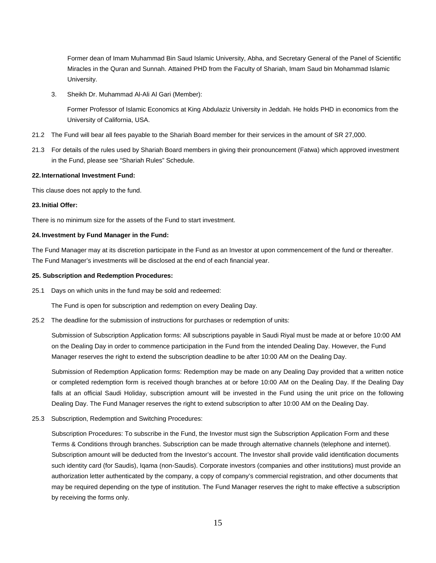Former dean of Imam Muhammad Bin Saud Islamic University, Abha, and Secretary General of the Panel of Scientific Miracles in the Quran and Sunnah. Attained PHD from the Faculty of Shariah, Imam Saud bin Mohammad Islamic University.

3. Sheikh Dr. Muhammad Al-Ali Al Gari (Member):

Former Professor of Islamic Economics at King Abdulaziz University in Jeddah. He holds PHD in economics from the University of California, USA.

- 21.2 The Fund will bear all fees payable to the Shariah Board member for their services in the amount of SR 27,000.
- 21.3 For details of the rules used by Shariah Board members in giving their pronouncement (Fatwa) which approved investment in the Fund, please see "Shariah Rules" Schedule.

#### **22. International Investment Fund:**

This clause does not apply to the fund.

#### **23. Initial Offer:**

There is no minimum size for the assets of the Fund to start investment.

#### **24. Investment by Fund Manager in the Fund:**

The Fund Manager may at its discretion participate in the Fund as an Investor at upon commencement of the fund or thereafter. The Fund Manager's investments will be disclosed at the end of each financial year.

#### **25. Subscription and Redemption Procedures:**

25.1 Days on which units in the fund may be sold and redeemed:

The Fund is open for subscription and redemption on every Dealing Day.

25.2 The deadline for the submission of instructions for purchases or redemption of units:

Submission of Subscription Application forms: All subscriptions payable in Saudi Riyal must be made at or before 10:00 AM on the Dealing Day in order to commence participation in the Fund from the intended Dealing Day. However, the Fund Manager reserves the right to extend the subscription deadline to be after 10:00 AM on the Dealing Day.

Submission of Redemption Application forms: Redemption may be made on any Dealing Day provided that a written notice or completed redemption form is received though branches at or before 10:00 AM on the Dealing Day. If the Dealing Day falls at an official Saudi Holiday, subscription amount will be invested in the Fund using the unit price on the following Dealing Day. The Fund Manager reserves the right to extend subscription to after 10:00 AM on the Dealing Day.

25.3 Subscription, Redemption and Switching Procedures:

Subscription Procedures: To subscribe in the Fund, the Investor must sign the Subscription Application Form and these Terms & Conditions through branches. Subscription can be made through alternative channels (telephone and internet). Subscription amount will be deducted from the Investor's account. The Investor shall provide valid identification documents such identity card (for Saudis), Iqama (non-Saudis). Corporate investors (companies and other institutions) must provide an authorization letter authenticated by the company, a copy of company's commercial registration, and other documents that may be required depending on the type of institution. The Fund Manager reserves the right to make effective a subscription by receiving the forms only.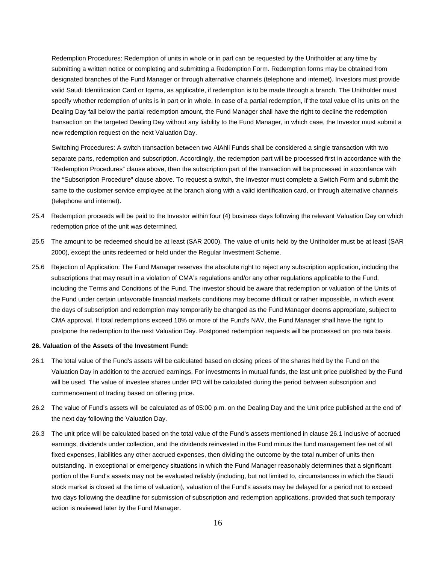Redemption Procedures: Redemption of units in whole or in part can be requested by the Unitholder at any time by submitting a written notice or completing and submitting a Redemption Form. Redemption forms may be obtained from designated branches of the Fund Manager or through alternative channels (telephone and internet). Investors must provide valid Saudi Identification Card or Iqama, as applicable, if redemption is to be made through a branch. The Unitholder must specify whether redemption of units is in part or in whole. In case of a partial redemption, if the total value of its units on the Dealing Day fall below the partial redemption amount, the Fund Manager shall have the right to decline the redemption transaction on the targeted Dealing Day without any liability to the Fund Manager, in which case, the Investor must submit a new redemption request on the next Valuation Day.

Switching Procedures: A switch transaction between two AlAhli Funds shall be considered a single transaction with two separate parts, redemption and subscription. Accordingly, the redemption part will be processed first in accordance with the "Redemption Procedures" clause above, then the subscription part of the transaction will be processed in accordance with the "Subscription Procedure" clause above. To request a switch, the Investor must complete a Switch Form and submit the same to the customer service employee at the branch along with a valid identification card, or through alternative channels (telephone and internet).

- 25.4 Redemption proceeds will be paid to the Investor within four (4) business days following the relevant Valuation Day on which redemption price of the unit was determined.
- 25.5 The amount to be redeemed should be at least (SAR 2000). The value of units held by the Unitholder must be at least (SAR 2000), except the units redeemed or held under the Regular Investment Scheme.
- 25.6 Rejection of Application: The Fund Manager reserves the absolute right to reject any subscription application, including the subscriptions that may result in a violation of CMA's regulations and/or any other regulations applicable to the Fund, including the Terms and Conditions of the Fund. The investor should be aware that redemption or valuation of the Units of the Fund under certain unfavorable financial markets conditions may become difficult or rather impossible, in which event the days of subscription and redemption may temporarily be changed as the Fund Manager deems appropriate, subject to CMA approval. If total redemptions exceed 10% or more of the Fund's NAV, the Fund Manager shall have the right to postpone the redemption to the next Valuation Day. Postponed redemption requests will be processed on pro rata basis.

#### **26. Valuation of the Assets of the Investment Fund:**

- 26.1 The total value of the Fund's assets will be calculated based on closing prices of the shares held by the Fund on the Valuation Day in addition to the accrued earnings. For investments in mutual funds, the last unit price published by the Fund will be used. The value of investee shares under IPO will be calculated during the period between subscription and commencement of trading based on offering price.
- 26.2 The value of Fund's assets will be calculated as of 05:00 p.m. on the Dealing Day and the Unit price published at the end of the next day following the Valuation Day.
- 26.3 The unit price will be calculated based on the total value of the Fund's assets mentioned in clause 26.1 inclusive of accrued earnings, dividends under collection, and the dividends reinvested in the Fund minus the fund management fee net of all fixed expenses, liabilities any other accrued expenses, then dividing the outcome by the total number of units then outstanding. In exceptional or emergency situations in which the Fund Manager reasonably determines that a significant portion of the Fund's assets may not be evaluated reliably (including, but not limited to, circumstances in which the Saudi stock market is closed at the time of valuation), valuation of the Fund's assets may be delayed for a period not to exceed two days following the deadline for submission of subscription and redemption applications, provided that such temporary action is reviewed later by the Fund Manager.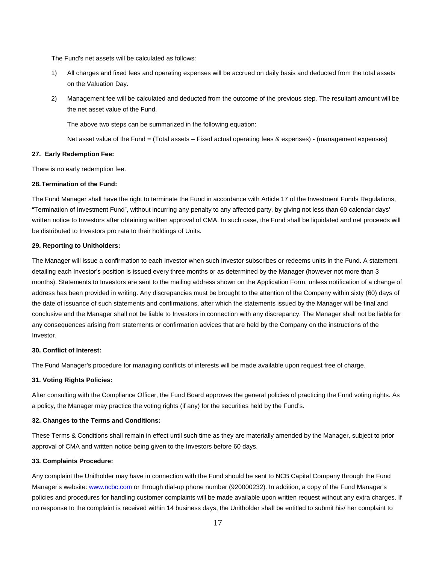The Fund's net assets will be calculated as follows:

- 1) All charges and fixed fees and operating expenses will be accrued on daily basis and deducted from the total assets on the Valuation Day.
- 2) Management fee will be calculated and deducted from the outcome of the previous step. The resultant amount will be the net asset value of the Fund.

The above two steps can be summarized in the following equation:

Net asset value of the Fund = (Total assets – Fixed actual operating fees & expenses) - (management expenses)

#### **27. Early Redemption Fee:**

There is no early redemption fee.

#### **28. Termination of the Fund:**

The Fund Manager shall have the right to terminate the Fund in accordance with Article 17 of the Investment Funds Regulations, "Termination of Investment Fund", without incurring any penalty to any affected party, by giving not less than 60 calendar days' written notice to Investors after obtaining written approval of CMA. In such case, the Fund shall be liquidated and net proceeds will be distributed to Investors pro rata to their holdings of Units.

#### **29. Reporting to Unitholders:**

The Manager will issue a confirmation to each Investor when such Investor subscribes or redeems units in the Fund. A statement detailing each Investor's position is issued every three months or as determined by the Manager (however not more than 3 months). Statements to Investors are sent to the mailing address shown on the Application Form, unless notification of a change of address has been provided in writing. Any discrepancies must be brought to the attention of the Company within sixty (60) days of the date of issuance of such statements and confirmations, after which the statements issued by the Manager will be final and conclusive and the Manager shall not be liable to Investors in connection with any discrepancy. The Manager shall not be liable for any consequences arising from statements or confirmation advices that are held by the Company on the instructions of the Investor.

# **30. Conflict of Interest:**

The Fund Manager's procedure for managing conflicts of interests will be made available upon request free of charge.

#### **31. Voting Rights Policies:**

After consulting with the Compliance Officer, the Fund Board approves the general policies of practicing the Fund voting rights. As a policy, the Manager may practice the voting rights (if any) for the securities held by the Fund's.

#### **32. Changes to the Terms and Conditions:**

These Terms & Conditions shall remain in effect until such time as they are materially amended by the Manager, subject to prior approval of CMA and written notice being given to the Investors before 60 days.

#### **33. Complaints Procedure:**

Any complaint the Unitholder may have in connection with the Fund should be sent to NCB Capital Company through the Fund Manager's website: www.ncbc.com or through dial-up phone number (920000232). In addition, a copy of the Fund Manager's policies and procedures for handling customer complaints will be made available upon written request without any extra charges. If no response to the complaint is received within 14 business days, the Unitholder shall be entitled to submit his/ her complaint to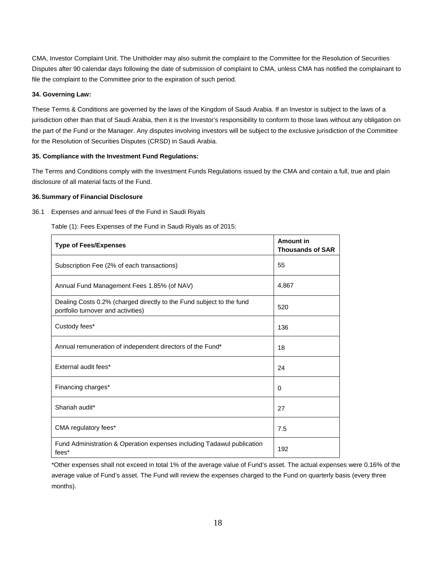CMA, Investor Complaint Unit. The Unitholder may also submit the complaint to the Committee for the Resolution of Securities Disputes after 90 calendar days following the date of submission of complaint to CMA, unless CMA has notified the complainant to file the complaint to the Committee prior to the expiration of such period.

# **34. Governing Law:**

These Terms & Conditions are governed by the laws of the Kingdom of Saudi Arabia. If an Investor is subject to the laws of a jurisdiction other than that of Saudi Arabia, then it is the Investor's responsibility to conform to those laws without any obligation on the part of the Fund or the Manager. Any disputes involving investors will be subject to the exclusive jurisdiction of the Committee for the Resolution of Securities Disputes (CRSD) in Saudi Arabia.

# **35. Compliance with the Investment Fund Regulations:**

The Terms and Conditions comply with the Investment Funds Regulations issued by the CMA and contain a full, true and plain disclosure of all material facts of the Fund.

# **36. Summary of Financial Disclosure**

36.1 Expenses and annual fees of the Fund in Saudi Riyals

| <b>Type of Fees/Expenses</b>                                                                               | Amount in<br><b>Thousands of SAR</b> |
|------------------------------------------------------------------------------------------------------------|--------------------------------------|
| Subscription Fee (2% of each transactions)                                                                 | 55                                   |
| Annual Fund Management Fees 1.85% (of NAV)                                                                 | 4,867                                |
| Dealing Costs 0.2% (charged directly to the Fund subject to the fund<br>portfolio turnover and activities) | 520                                  |
| Custody fees*                                                                                              | 136                                  |
| Annual remuneration of independent directors of the Fund*                                                  | 18                                   |
| External audit fees*                                                                                       | 24                                   |
| Financing charges*                                                                                         | 0                                    |
| Shariah audit*                                                                                             | 27                                   |
| CMA regulatory fees*                                                                                       | 7.5                                  |
| Fund Administration & Operation expenses including Tadawul publication<br>fees*                            | 192                                  |

Table (1): Fees Expenses of the Fund in Saudi Riyals as of 2015:

\*Other expenses shall not exceed in total 1% of the average value of Fund's asset. The actual expenses were 0.16% of the average value of Fund's asset. The Fund will review the expenses charged to the Fund on quarterly basis (every three months).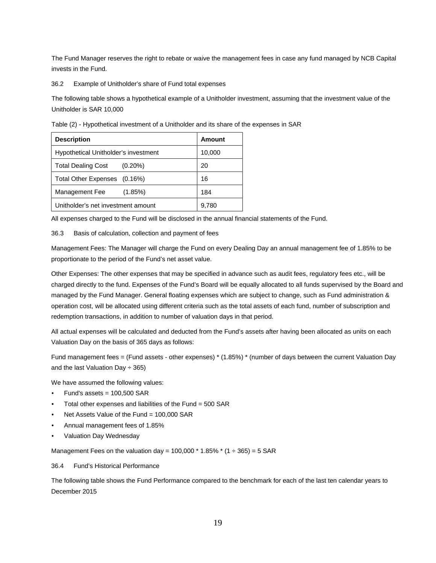The Fund Manager reserves the right to rebate or waive the management fees in case any fund managed by NCB Capital invests in the Fund.

36.2 Example of Unitholder's share of Fund total expenses

The following table shows a hypothetical example of a Unitholder investment, assuming that the investment value of the Unitholder is SAR 10,000

Table (2) - Hypothetical investment of a Unitholder and its share of the expenses in SAR

| <b>Description</b>                      | Amount |
|-----------------------------------------|--------|
| Hypothetical Unitholder's investment    | 10,000 |
| $(0.20\%)$<br><b>Total Dealing Cost</b> | 20     |
| Total Other Expenses (0.16%)            | 16     |
| Management Fee<br>(1.85%)               | 184    |
| Unitholder's net investment amount      | 9,780  |

All expenses charged to the Fund will be disclosed in the annual financial statements of the Fund.

#### 36.3 Basis of calculation, collection and payment of fees

Management Fees: The Manager will charge the Fund on every Dealing Day an annual management fee of 1.85% to be proportionate to the period of the Fund's net asset value.

Other Expenses: The other expenses that may be specified in advance such as audit fees, regulatory fees etc., will be charged directly to the fund. Expenses of the Fund's Board will be equally allocated to all funds supervised by the Board and managed by the Fund Manager. General floating expenses which are subject to change, such as Fund administration & operation cost, will be allocated using different criteria such as the total assets of each fund, number of subscription and redemption transactions, in addition to number of valuation days in that period.

All actual expenses will be calculated and deducted from the Fund's assets after having been allocated as units on each Valuation Day on the basis of 365 days as follows:

Fund management fees = (Fund assets - other expenses) \* (1.85%) \* (number of days between the current Valuation Day and the last Valuation Day  $\div$  365)

We have assumed the following values:

- Fund's assets =  $100,500$  SAR
- Total other expenses and liabilities of the Fund = 500 SAR
- Net Assets Value of the Fund = 100,000 SAR
- Annual management fees of 1.85%
- Valuation Day Wednesday

Management Fees on the valuation day =  $100,000 * 1.85\% * (1 ÷ 365) = 5$  SAR

# 36.4 Fund's Historical Performance

The following table shows the Fund Performance compared to the benchmark for each of the last ten calendar years to December 2015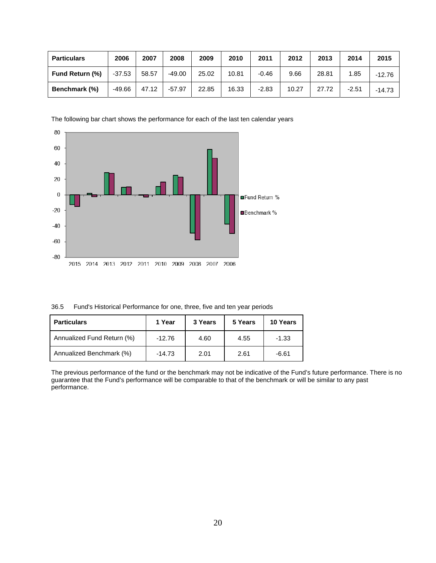| <b>Particulars</b>     | 2006     | 2007  | 2008     | 2009  | 2010  | 2011    | 2012  | 2013  | 2014    | 2015     |
|------------------------|----------|-------|----------|-------|-------|---------|-------|-------|---------|----------|
| <b>Fund Return (%)</b> | $-37.53$ | 58.57 | $-49.00$ | 25.02 | 10.81 | $-0.46$ | 9.66  | 28.81 | 1.85    | -12.76   |
| Benchmark (%)          | -49.66   | 47.12 | $-57.97$ | 22.85 | 16.33 | $-2.83$ | 10.27 | 27.72 | $-2.51$ | $-14.73$ |

The following bar chart shows the performance for each of the last ten calendar years



36.5 Fund's Historical Performance for one, three, five and ten year periods

| <b>Particulars</b>         | 1 Year   | 3 Years | 5 Years | 10 Years |
|----------------------------|----------|---------|---------|----------|
| Annualized Fund Return (%) | $-12.76$ | 4.60    | 4.55    | $-1.33$  |
| Annualized Benchmark (%)   | $-14.73$ | 2.01    | 2.61    | -6.61    |

The previous performance of the fund or the benchmark may not be indicative of the Fund's future performance. There is no guarantee that the Fund's performance will be comparable to that of the benchmark or will be similar to any past performance.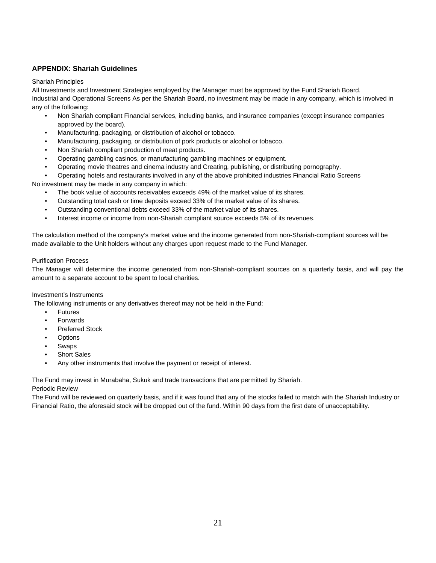# **APPENDIX: Shariah Guidelines**

# Shariah Principles

All Investments and Investment Strategies employed by the Manager must be approved by the Fund Shariah Board. Industrial and Operational Screens As per the Shariah Board, no investment may be made in any company, which is involved in any of the following:

- Non Shariah compliant Financial services, including banks, and insurance companies (except insurance companies approved by the board).
- Manufacturing, packaging, or distribution of alcohol or tobacco.
- Manufacturing, packaging, or distribution of pork products or alcohol or tobacco.
- Non Shariah compliant production of meat products.
- Operating gambling casinos, or manufacturing gambling machines or equipment.
- Operating movie theatres and cinema industry and Creating, publishing, or distributing pornography.
- Operating hotels and restaurants involved in any of the above prohibited industries Financial Ratio Screens

No investment may be made in any company in which:

- The book value of accounts receivables exceeds 49% of the market value of its shares.
- Outstanding total cash or time deposits exceed 33% of the market value of its shares.
- Outstanding conventional debts exceed 33% of the market value of its shares.
- Interest income or income from non-Shariah compliant source exceeds 5% of its revenues.

The calculation method of the company's market value and the income generated from non-Shariah-compliant sources will be made available to the Unit holders without any charges upon request made to the Fund Manager.

# Purification Process

The Manager will determine the income generated from non-Shariah-compliant sources on a quarterly basis, and will pay the amount to a separate account to be spent to local charities.

# Investment's Instruments

The following instruments or any derivatives thereof may not be held in the Fund:

- **Futures**
- **Forwards**
- Preferred Stock
- **Options**
- Swaps
- Short Sales
- Any other instruments that involve the payment or receipt of interest.

The Fund may invest in Murabaha, Sukuk and trade transactions that are permitted by Shariah.

# Periodic Review

The Fund will be reviewed on quarterly basis, and if it was found that any of the stocks failed to match with the Shariah Industry or Financial Ratio, the aforesaid stock will be dropped out of the fund. Within 90 days from the first date of unacceptability.